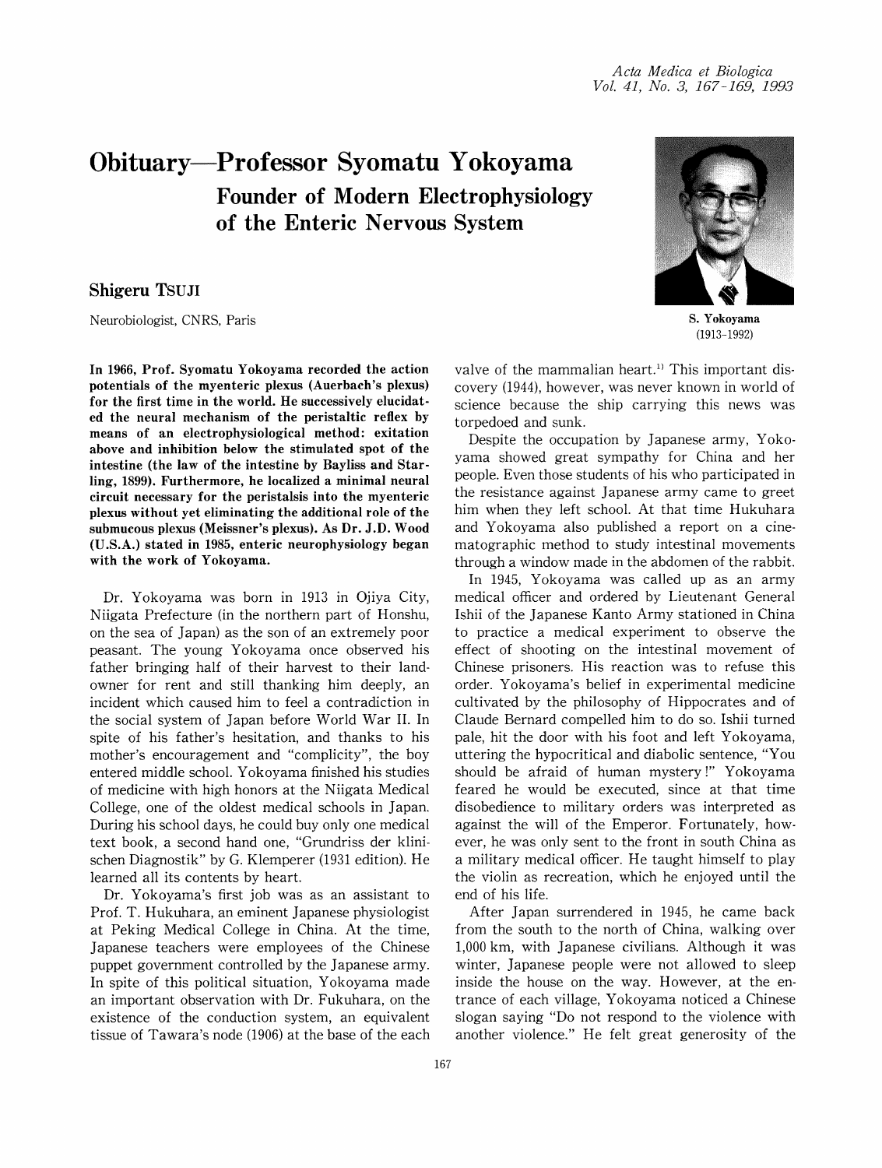## Obituary-Professor Syomatu Yokoyama Founder of Modern Electrophysiology of the Enteric Nervous System

## Shigeru TSUJI

Neurobiologist, CNRS, Paris

In 1966, Prof. Syomatu Yokoyama recorded the action potentials of the myenteric plexus (Auerbach's plexus) for the first time in the world. He successively elucidated the neural mechanism of the peristaltic reflex by means of an electrophysiological method: exitation above and inhibition below the stimulated spot of the intestine (the law of the intestine by Bayliss and Starling, 1899). Furthermore, he localized a minimal neural circuit necessary for the peristalsis into the myenteric plexus without yet eliminating the additional role of the submucous plexus (Meissner's plexus). As Dr. J.D. Wood (U.S.A.) stated in 1985, enteric neurophysiology began with the work of Yokoyama.

Dr. Yokoyama was born in 1913 in Ojiya City, Niigata Prefecture (in the northern part of Honshu, on the sea of Japan) as the son of an extremely poor peasant. The young Yokoyama once observed his father bringing half of their harvest to their landowner for rent and still thanking him deeply, an incident which caused him to feel a contradiction in the social system of Japan before World War II. In spite of his father's hesitation, and thanks to his mother's encouragement and "complicity", the boy entered middle school. Yokoyama finished his studies of medicine with high honors at the Niigata Medical College, one of the oldest medical schools in Japan. During his school days, he could buy only one medical text book, a second hand one, "Grundriss der klinischen Diagnostik" by G. Klemperer (1931 edition). He learned all its contents by heart.

Dr. Yokoyama's first job was as an assistant to Prof. T. Hukuhara, an eminent Japanese physiologist at Peking Medical College in China. At the time, Japanese teachers were employees of the Chinese puppet government controlled by the Japanese army. In spite of this political situation, Yokoyama made an important observation with Dr. Fukuhara, on the existence of the conduction system, an equivalent tissue of Tawara's node (1906) at the base of the each



S. Yokoyama (1913-1992)

valve of the mammalian heart.<sup>1</sup> This important discovery (1944), however, was never known in world of science because the ship carrying this news was torpedoed and sunk.

Despite the occupation by Japanese army, Yokoyama showed great sympathy for China and her people. Even those students of his who participated in the resistance against Japanese army came to greet him when they left school. At that time Hukuhara and Yokoyama also published a report on a cinematographic method to study intestinal movements through a window made in the abdomen of the rabbit.

In 1945, Yokoyama was called up as an army medical officer and ordered by Lieutenant General Ishii of the Japanese Kanto Army stationed in China to practice a medical experiment to observe the effect of shooting on the intestinal movement of Chinese prisoners. His reaction was to refuse this order. Yokoyama's belief in experimental medicine cultivated by the philosophy of Hippocrates and of Claude Bernard compelled him to do so. Ishii turned pale, hit the door with his foot and left Yokoyama, uttering the hypocritical and diabolic sentence, "You should be afraid of human mystery!" Yokoyama feared he would be executed, since at that time disobedience to military orders was interpreted as against the will of the Emperor. Fortunately, however, he was only sent to the front in south China as a military medical officer. He taught himself to play the violin as recreation, which he enjoyed until the end of his life.

After Japan surrendered in 1945, he came back from the south to the north of China, walking over 1,000 km, with Japanese civilians. Although it was winter, Japanese people were not allowed to sleep inside the house on the way. However, at the entrance of each village, Yokoyama noticed a Chinese slogan saying "Do not respond to the violence with another violence." He felt great generosity of the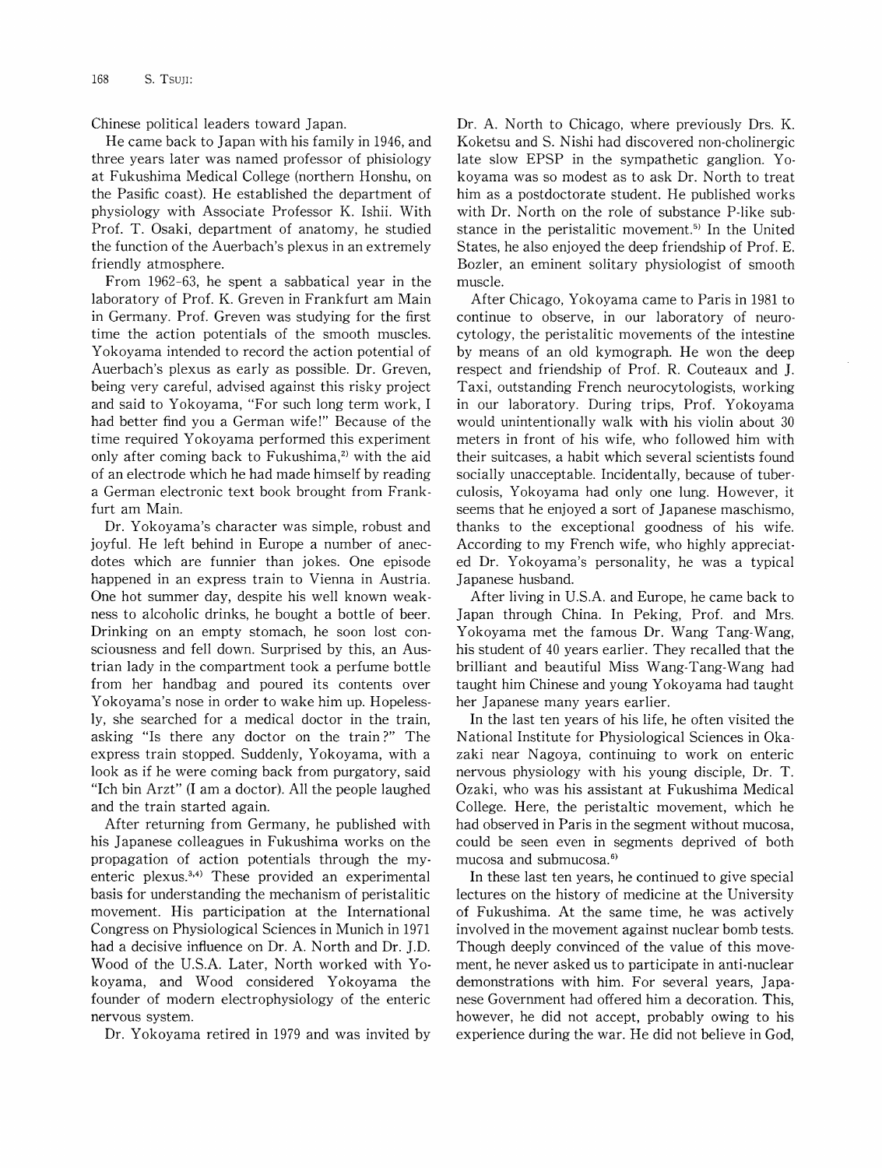Chinese political leaders toward Japan.

He came back to Japan with his family in 1946, and three years later was named professor of phisiology at Fukushima Medical College (northern Honshu, on the Pasific coast). He established the department of physiology with Associate Professor K. Ishii. With Prof. T. Osaki, department of anatomy, he studied the function of the Auerbach's plexus in an extremely friendly atmosphere.

From 1962-63, he spent a sabbatical year in the laboratory of Prof. K. Greven in Frankfurt am Main in Germany. Prof. Greven was studying for the first time the action potentials of the smooth muscles. Yokoyama intended to record the action potential of Auerbach's plexus as early as possible. Dr. Greven, being very careful, advised against this risky project and said to Yokoyama, "For such long term work, I had better find you a German wife!" Because of the time required Yokoyama performed this experiment only after coming back to Fukushima, $2$  with the aid of an electrode which he had made himself by reading a German electronic text book brought from Frankfurt am Main.

Dr. Yokoyama's character was simple, robust and joyful. He left behind in Europe a number of anecdotes which are funnier than jokes. One episode happened in an express train to Vienna in Austria. One hot summer day, despite his well known weakness to alcoholic drinks, he bought a bottle of beer. Drinking on an empty stomach, he soon lost consciousness and fell down. Surprised by this, an Austrian lady in the compartment took a perfume bottle from her handbag and poured its contents over Yokoyama's nose in order to wake him up. Hopelessly, she searched for a medical doctor in the train, asking "Is there any doctor on the train?" The express train stopped. Suddenly, Yokoyama, with a look as if he were coming back from purgatory, said "Ich bin Arzt" (I am a doctor). All the people laughed and the train started again.

After returning from Germany, he published with his Japanese colleagues in Fukushima works on the propagation of action potentials through the myenteric plexus.<sup>3,4)</sup> These provided an experimental basis for understanding the mechanism of peristalitic movement. His participation at the International Congress on Physiological Sciences in Munich in 1971 had a decisive influence on Dr. A. North and Dr. J.D. Wood of the U.S.A. Later, North worked with Yokoyama, and Wood considered Yokoyama the founder of modern electrophysiology of the enteric nervous system.

Dr. Yokoyama retired in 1979 and was invited by

Dr. A. North to Chicago, where previously Drs. K. Koketsu and S. Nishi had discovered non-cholinergic late slow EPSP in the sympathetic ganglion. Yokoyama was so modest as to ask Dr. North to treat him as a postdoctorate student. He published works with Dr. North on the role of substance P-like substance in the peristalitic movement.<sup>5)</sup> In the United States, he also enjoyed the deep friendship of Prof. E. Bozler, an eminent solitary physiologist of smooth muscle.

After Chicago, Yokoyama came to Paris in 1981 to continue to observe, in our laboratory of neurocytology, the peristalitic movements of the intestine by means of an old kymograph. He won the deep respect and friendship of Prof. R. Couteaux and ]. Taxi, outstanding French neurocytologists, working in our laboratory. During trips, Prof. Yokoyama would unintentionally walk with his violin about 30 meters in front of his wife, who followed him with their suitcases, a habit which several scientists found socially unacceptable. Incidentally, because of tuberculosis, Yokoyama had only one lung. However, it seems that he enjoyed a sort of Japanese maschismo, thanks to the exceptional goodness of his wife. According to my French wife, who highly appreciated Dr. Yokoyama's personality, he was a typical Japanese husband.

After living in U.S.A. and Europe, he came back to Japan through China. In Peking, Prof. and Mrs. Yokoyama met the famous Dr. Wang Tang-Wang, his student of 40 years earlier. They recalled that the brilliant and beautiful Miss Wang-Tang-Wang had taught him Chinese and young Yokoyama had taught her Japanese many years earlier.

In the last ten years of his life, he often visited the National Institute for Physiological Sciences in Okazaki near Nagoya, continuing to work on enteric nervous physiology with his young disciple, Dr. T. Ozaki, who was his assistant at Fukushima Medical College. Here, the peristaltic movement, which he had observed in Paris in the segment without mucosa, could be seen even in segments deprived of both mucosa and submucosa.<sup>6)</sup>

In these last ten years, he continued to give special lectures on the history of medicine at the University of Fukushima. At the same time, he was actively involved in the movement against nuclear bomb tests. Though deeply convinced of the value of this movement, he never asked us to participate in anti-nuclear demonstrations with him. For several years, Japanese Government had offered him a decoration. This, however, he did not accept, probably owing to his experience during the war. He did not believe in God,